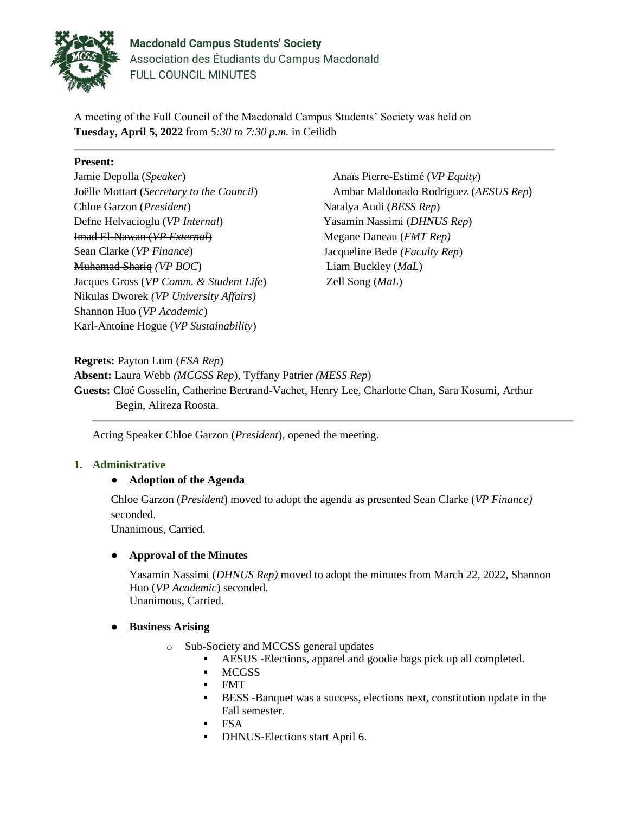

**Macdonald Campus Students' Society** Association des Étudiants du Campus Macdonald FULL COUNCIL MINUTES

A meeting of the Full Council of the Macdonald Campus Students' Society was held on **Tuesday, April 5, 2022** from *5:30 to 7:30 p.m.* in Ceilidh

### **Present:**

Jamie Depolla (*Speaker*) Joëlle Mottart (*Secretary to the Council*) Chloe Garzon (*President*) Defne Helvacioglu (*VP Internal*) Imad El-Nawan (*VP External*) Sean Clarke (*VP Finance*) Muhamad Shariq *(VP BOC*) Jacques Gross (*VP Comm. & Student Life*) Nikulas Dworek *(VP University Affairs)* Shannon Huo (*VP Academic*) Karl-Antoine Hogue (*VP Sustainability*)

Anaïs Pierre-Estimé (*VP Equity*) Ambar Maldonado Rodriguez (*AESUS Rep*) Natalya Audi (*BESS Rep*) Yasamin Nassimi (*DHNUS Rep*) Megane Daneau (*FMT Rep)* Jacqueline Bede *(Faculty Rep*) Liam Buckley (*MaL*) Zell Song (*MaL*)

**Regrets:** Payton Lum (*FSA Rep*)

**Absent:** Laura Webb *(MCGSS Rep*), Tyffany Patrier *(MESS Rep*) **Guests:** Cloé Gosselin, Catherine Bertrand-Vachet, Henry Lee, Charlotte Chan, Sara Kosumi, Arthur Begin, Alireza Roosta.

Acting Speaker Chloe Garzon (*President*), opened the meeting.

## **1. Administrative**

## ● **Adoption of the Agenda**

Chloe Garzon (*President*) moved to adopt the agenda as presented Sean Clarke (*VP Finance)* seconded.

Unanimous, Carried.

### ● **Approval of the Minutes**

Yasamin Nassimi (*DHNUS Rep)* moved to adopt the minutes from March 22, 2022, Shannon Huo (*VP Academic*) seconded. Unanimous, Carried.

### ● **Business Arising**

- o Sub-Society and MCGSS general updates
	- AESUS -Elections, apparel and goodie bags pick up all completed.
	- MCGSS
	- FMT
	- BESS -Banquet was a success, elections next, constitution update in the Fall semester.
	- FSA
	- DHNUS-Elections start April 6.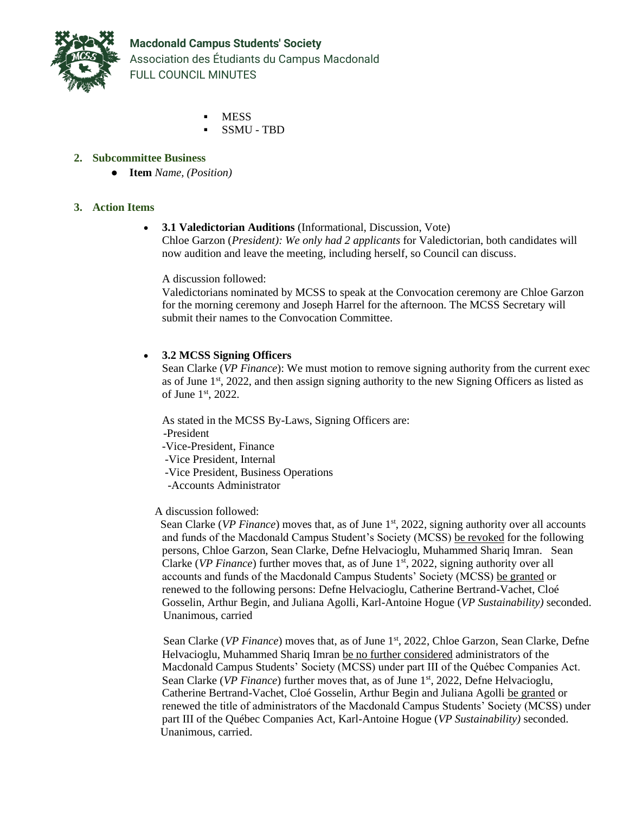

- **MESS**
- SSMU TBD

# **2. Subcommittee Business**

● **Item** *Name, (Position)*

### **3. Action Items**

### • **3.1 Valedictorian Auditions** (Informational, Discussion, Vote) Chloe Garzon (*President): We only had 2 applicants* for Valedictorian, both candidates will now audition and leave the meeting, including herself, so Council can discuss.

A discussion followed:

Valedictorians nominated by MCSS to speak at the Convocation ceremony are Chloe Garzon for the morning ceremony and Joseph Harrel for the afternoon. The MCSS Secretary will submit their names to the Convocation Committee.

## • **3.2 MCSS Signing Officers**

Sean Clarke (*VP Finance*): We must motion to remove signing authority from the current exec as of June 1<sup>st</sup>, 2022, and then assign signing authority to the new Signing Officers as listed as of June 1st, 2022.

As stated in the MCSS By-Laws, Signing Officers are:

- -President
- -Vice-President, Finance
- -Vice President, Internal
- -Vice President, Business Operations
- -Accounts Administrator

## A discussion followed:

Sean Clarke (*VP Finance*) moves that, as of June 1<sup>st</sup>, 2022, signing authority over all accounts and funds of the Macdonald Campus Student's Society (MCSS) be revoked for the following persons, Chloe Garzon, Sean Clarke, Defne Helvacioglu, Muhammed Shariq Imran. Sean Clarke (*VP Finance*) further moves that, as of June 1<sup>st</sup>, 2022, signing authority over all accounts and funds of the Macdonald Campus Students' Society (MCSS) be granted or renewed to the following persons: Defne Helvacioglu, Catherine Bertrand-Vachet, Cloé Gosselin, Arthur Begin, and Juliana Agolli, Karl-Antoine Hogue (*VP Sustainability)* seconded. Unanimous, carried

Sean Clarke (*VP Finance*) moves that, as of June 1<sup>st</sup>, 2022, Chloe Garzon, Sean Clarke, Defne Helvacioglu, Muhammed Shariq Imran be no further considered administrators of the Macdonald Campus Students' Society (MCSS) under part III of the Québec Companies Act. Sean Clarke (*VP Finance*) further moves that, as of June 1<sup>st</sup>, 2022, Defne Helvacioglu, Catherine Bertrand-Vachet, Cloé Gosselin, Arthur Begin and Juliana Agolli be granted or renewed the title of administrators of the Macdonald Campus Students' Society (MCSS) under part III of the Québec Companies Act, Karl-Antoine Hogue (*VP Sustainability)* seconded. Unanimous, carried.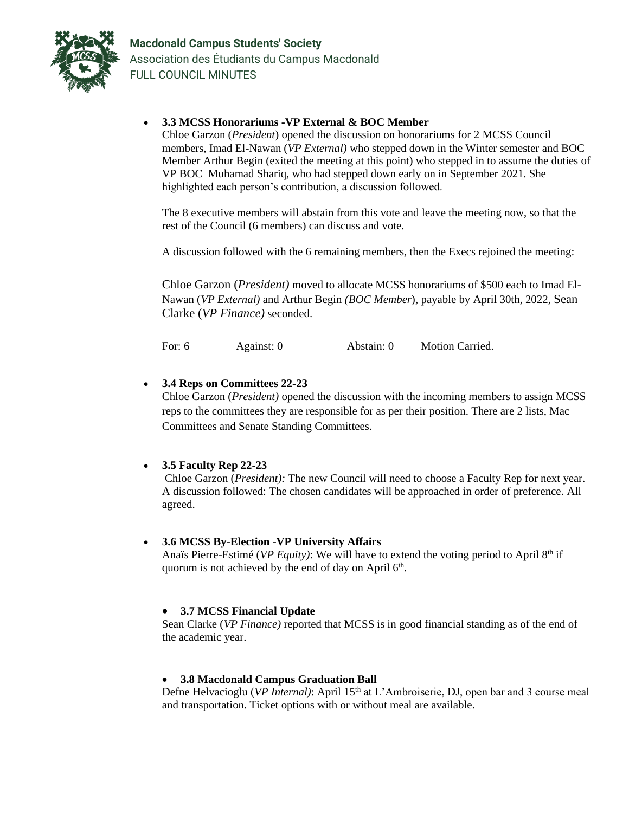

• **3.3 MCSS Honorariums -VP External & BOC Member**

Chloe Garzon (*President*) opened the discussion on honorariums for 2 MCSS Council members, Imad El-Nawan (*VP External)* who stepped down in the Winter semester and BOC Member Arthur Begin (exited the meeting at this point) who stepped in to assume the duties of VP BOC Muhamad Shariq, who had stepped down early on in September 2021. She highlighted each person's contribution, a discussion followed.

The 8 executive members will abstain from this vote and leave the meeting now, so that the rest of the Council (6 members) can discuss and vote.

A discussion followed with the 6 remaining members, then the Execs rejoined the meeting:

Chloe Garzon (*President)* moved to allocate MCSS honorariums of \$500 each to Imad El-Nawan (*VP External)* and Arthur Begin *(BOC Member*), payable by April 30th, 2022, Sean Clarke (*VP Finance)* seconded.

For: 6 Against: 0 Abstain: 0 Motion Carried.

## • **3.4 Reps on Committees 22-23**

Chloe Garzon (*President)* opened the discussion with the incoming members to assign MCSS reps to the committees they are responsible for as per their position. There are 2 lists, Mac Committees and Senate Standing Committees.

## • **3.5 Faculty Rep 22-23**

Chloe Garzon (*President):* The new Council will need to choose a Faculty Rep for next year. A discussion followed: The chosen candidates will be approached in order of preference. All agreed.

### • **3.6 MCSS By-Election -VP University Affairs**

Anaïs Pierre-Estimé (*VP Equity*): We will have to extend the voting period to April 8<sup>th</sup> if quorum is not achieved by the end of day on April 6<sup>th</sup>.

### • **3.7 MCSS Financial Update**

Sean Clarke (*VP Finance)* reported that MCSS is in good financial standing as of the end of the academic year.

### • **3.8 Macdonald Campus Graduation Ball**

Defne Helvacioglu (*VP Internal*): April 15<sup>th</sup> at L'Ambroiserie, DJ, open bar and 3 course meal and transportation. Ticket options with or without meal are available.